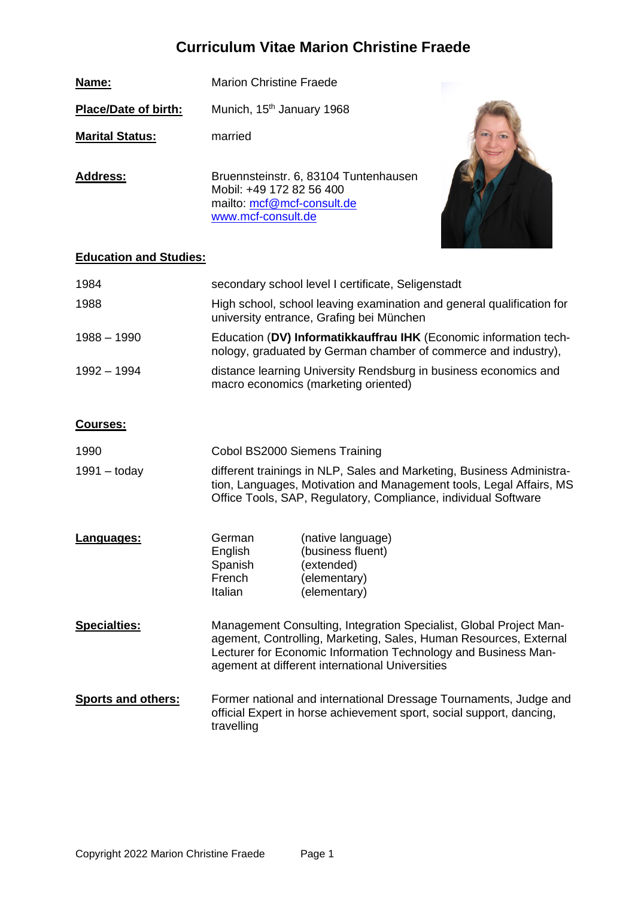# **Curriculum Vitae Marion Christine Fraede**

**Name:** Marion Christine Fraede Place/Date of birth: Munich, 15<sup>th</sup> January 1968 **Marital Status:** married Address: Bruennsteinstr. 6, 83104 Tuntenhausen Mobil: +49 172 82 56 400 mailto: [mcf@mcf-consult.de](mailto:mcf@mcf-consult.de) [www.mcf-consult.de](http://www.mcf-consult.de/) 

## **Education and Studies:**

| 1984        | secondary school level I certificate, Seligenstadt                                                                                  |
|-------------|-------------------------------------------------------------------------------------------------------------------------------------|
| 1988        | High school, school leaving examination and general qualification for<br>university entrance, Grafing bei München                   |
| 1988 – 1990 | Education (DV) Informatikkauffrau IHK (Economic information tech-<br>nology, graduated by German chamber of commerce and industry), |
| 1992 – 1994 | distance learning University Rendsburg in business economics and<br>macro economics (marketing oriented)                            |

#### **Courses:**

| 1990<br>$1991 -$ today    | Cobol BS2000 Siemens Training<br>different trainings in NLP, Sales and Marketing, Business Administra-<br>tion, Languages, Motivation and Management tools, Legal Affairs, MS<br>Office Tools, SAP, Regulatory, Compliance, individual Software              |                                                                                      |  |
|---------------------------|--------------------------------------------------------------------------------------------------------------------------------------------------------------------------------------------------------------------------------------------------------------|--------------------------------------------------------------------------------------|--|
| Languages:                | German<br>English<br>Spanish<br>French<br>Italian                                                                                                                                                                                                            | (native language)<br>(business fluent)<br>(extended)<br>(elementary)<br>(elementary) |  |
| <b>Specialties:</b>       | Management Consulting, Integration Specialist, Global Project Man-<br>agement, Controlling, Marketing, Sales, Human Resources, External<br>Lecturer for Economic Information Technology and Business Man-<br>agement at different international Universities |                                                                                      |  |
| <b>Sports and others:</b> | Former national and international Dressage Tournaments, Judge and<br>official Expert in horse achievement sport, social support, dancing,<br>travelling                                                                                                      |                                                                                      |  |